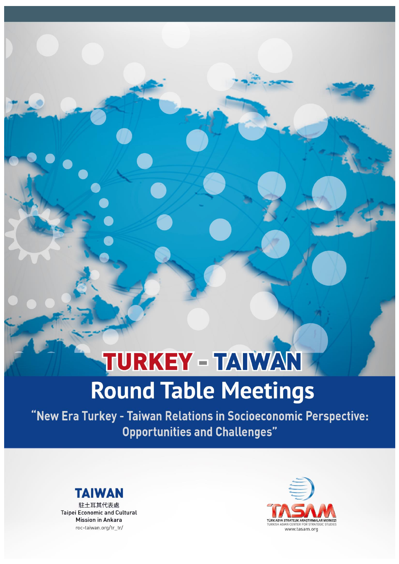# TURKEY - TAIWAN **Round Table Meetings**

"New Era Turkey - Taiwan Relations in Socioeconomic Perspective: **Opportunities and Challenges"** 



駐土耳其代表處 **Taipei Economic and Cultural** Mission in Ankara roc-taiwan.org/tr\_tr/

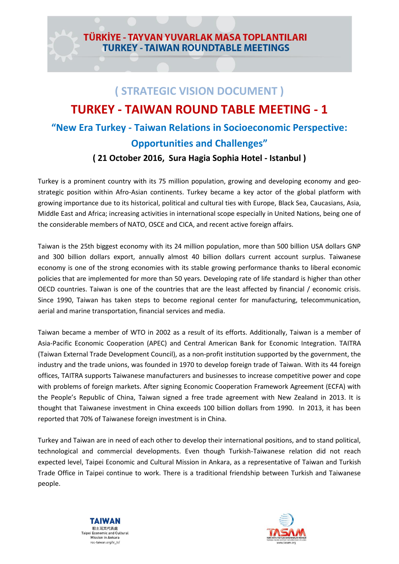## TÜRKİYE - TAYVAN YUVARLAK MASA TOPLANTILARI **TURKEY - TAIWAN ROUNDTABLE MEETINGS**

# **( STRATEGIC VISION DOCUMENT ) TURKEY - TAIWAN ROUND TABLE MEETING - 1 "New Era Turkey - Taiwan Relations in Socioeconomic Perspective: Opportunities and Challenges"**

#### **( 21 October 2016, Sura Hagia Sophia Hotel - Istanbul )**

Turkey is a prominent country with its 75 million population, growing and developing economy and geostrategic position within Afro-Asian continents. Turkey became a key actor of the global platform with growing importance due to its historical, political and cultural ties with Europe, Black Sea, Caucasians, Asia, Middle East and Africa; increasing activities in international scope especially in United Nations, being one of the considerable members of NATO, OSCE and CICA, and recent active foreign affairs.

Taiwan is the 25th biggest economy with its 24 million population, more than 500 billion USA dollars GNP and 300 billion dollars export, annually almost 40 billion dollars current account surplus. Taiwanese economy is one of the strong economies with its stable growing performance thanks to liberal economic policies that are implemented for more than 50 years. Developing rate of life standard is higher than other OECD countries. Taiwan is one of the countries that are the least affected by financial / economic crisis. Since 1990, Taiwan has taken steps to become regional center for manufacturing, telecommunication, aerial and marine transportation, financial services and media.

Taiwan became a member of WTO in 2002 as a result of its efforts. Additionally, Taiwan is a member of Asia-Pacific Economic Cooperation (APEC) and Central American Bank for Economic Integration. TAITRA (Taiwan External Trade Development Council), as a non-profit institution supported by the government, the industry and the trade unions, was founded in 1970 to develop foreign trade of Taiwan. With its 44 foreign offices, TAITRA supports Taiwanese manufacturers and businesses to increase competitive power and cope with problems of foreign markets. After signing Economic Cooperation Framework Agreement (ECFA) with the People's Republic of China, Taiwan signed a free trade agreement with New Zealand in 2013. It is thought that Taiwanese investment in China exceeds 100 billion dollars from 1990. In 2013, it has been reported that 70% of Taiwanese foreign investment is in China.

Turkey and Taiwan are in need of each other to develop their international positions, and to stand political, technological and commercial developments. Even though Turkish-Taiwanese relation did not reach expected level, Taipei Economic and Cultural Mission in Ankara, as a representative of Taiwan and Turkish Trade Office in Taipei continue to work. There is a traditional friendship between Turkish and Taiwanese people.



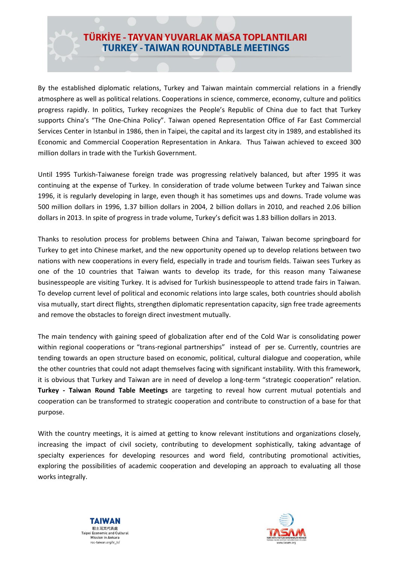## TÜRKİYE - TAYVAN YUVARLAK MASA TOPLANTILARI **TURKEY - TAIWAN ROUNDTABLE MEETINGS**

By the established diplomatic relations, Turkey and Taiwan maintain commercial relations in a friendly atmosphere as well as political relations. Cooperations in science, commerce, economy, culture and politics progress rapidly. In politics, Turkey recognizes the People's Republic of China due to fact that Turkey supports China's "The One-China Policy". Taiwan opened Representation Office of Far East Commercial Services Center in Istanbul in 1986, then in Taipei, the capital and its largest city in 1989, and established its Economic and Commercial Cooperation Representation in Ankara. Thus Taiwan achieved to exceed 300 million dollars in trade with the Turkish Government.

Until 1995 Turkish-Taiwanese foreign trade was progressing relatively balanced, but after 1995 it was continuing at the expense of Turkey. In consideration of trade volume between Turkey and Taiwan since 1996, it is regularly developing in large, even though it has sometimes ups and downs. Trade volume was 500 million dollars in 1996, 1.37 billion dollars in 2004, 2 billion dollars in 2010, and reached 2.06 billion dollars in 2013. In spite of progress in trade volume, Turkey's deficit was 1.83 billion dollars in 2013.

Thanks to resolution process for problems between China and Taiwan, Taiwan become springboard for Turkey to get into Chinese market, and the new opportunity opened up to develop relations between two nations with new cooperations in every field, especially in trade and tourism fields. Taiwan sees Turkey as one of the 10 countries that Taiwan wants to develop its trade, for this reason many Taiwanese businesspeople are visiting Turkey. It is advised for Turkish businesspeople to attend trade fairs in Taiwan. To develop current level of political and economic relations into large scales, both countries should abolish visa mutually, start direct flights, strengthen diplomatic representation capacity, sign free trade agreements and remove the obstacles to foreign direct investment mutually.

The main tendency with gaining speed of globalization after end of the Cold War is consolidating power within regional cooperations or "trans-regional partnerships" instead of per se. Currently, countries are tending towards an open structure based on economic, political, cultural dialogue and cooperation, while the other countries that could not adapt themselves facing with significant instability. With this framework, it is obvious that Turkey and Taiwan are in need of develop a long-term "strategic cooperation" relation. **Turkey - Taiwan Round Table Meetings** are targeting to reveal how current mutual potentials and cooperation can be transformed to strategic cooperation and contribute to construction of a base for that purpose.

With the country meetings, it is aimed at getting to know relevant institutions and organizations closely, increasing the impact of civil society, contributing to development sophistically, taking advantage of specialty experiences for developing resources and word field, contributing promotional activities, exploring the possibilities of academic cooperation and developing an approach to evaluating all those works integrally.